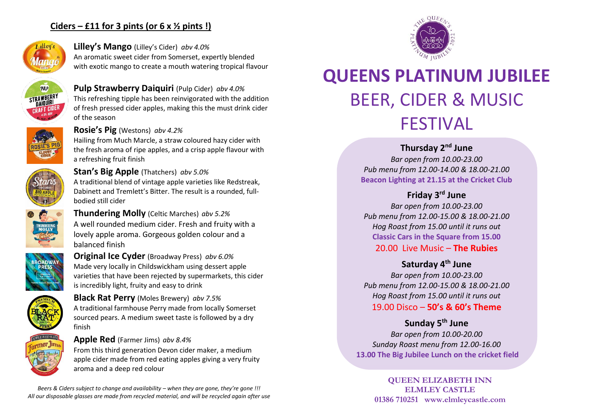# **Ciders – £11 for 3 pints (or 6 x ½ pints !)**



## **Lilley's Mango** (Lilley's Cider) *abv 4.0%* An aromatic sweet cider from Somerset, expertly blended with exotic mango to create a mouth watering tropical flavour



# **Pulp Strawberry Daiquiri** (Pulp Cider) *abv 4.0%*

This refreshing tipple has been reinvigorated with the addition of fresh pressed cider apples, making this the must drink cider of the season

## **Rosie's Pig** (Westons) *abv 4.2%*

Hailing from Much Marcle, a straw coloured hazy cider with the fresh aroma of ripe apples, and a crisp apple flavour with a refreshing fruit finish



## **Stan's Big Apple** (Thatchers) *abv 5.0%* A traditional blend of vintage apple varieties like Redstreak, Dabinett and Tremlett's Bitter. The result is a rounded, fullbodied still cider



**Thundering Molly** (Celtic Marches) *abv 5.2%* A well rounded medium cider. Fresh and fruity with a lovely apple aroma. Gorgeous golden colour and a balanced finish



**Original Ice Cyder** (Broadway Press) *abv 6.0%* Made very locally in Childswickham using dessert apple varieties that have been rejected by supermarkets, this cider is incredibly light, fruity and easy to drink



**Black Rat Perry** (Moles Brewery) *abv 7.5%* A traditional farmhouse Perry made from locally Somerset sourced pears. A medium sweet taste is followed by a dry finish

## **Apple Red** (Farmer Jims) *abv 8.4%*

From this third generation Devon cider maker, a medium apple cider made from red eating apples giving a very fruity aroma and a deep red colour

*Beers & Ciders subject to change and availability – when they are gone, they're gone !!! All our disposable glasses are made from recycled material, and will be recycled again after use*



# **QUEENS PLATINUM JUBILEE** BEER, CIDER & MUSIC FESTIVAL

# **Thursday 2nd June**

*Bar open from 10.00-23.00 Pub menu from 12.00-14.00 & 18.00-21.00* **Beacon Lighting at 21.15 at the Cricket Club**

## **Friday 3rd June**

*Bar open from 10.00-23.00 Pub menu from 12.00-15.00 & 18.00-21.00 Hog Roast from 15.00 until it runs out* **Classic Cars in the Square from 15.00** 20.00 Live Music – **The Rubies**

## **Saturday 4th June**

*Bar open from 10.00-23.00 Pub menu from 12.00-15.00 & 18.00-21.00 Hog Roast from 15.00 until it runs out* 19.00 Disco – **50's & 60's Theme**

## **Sunday 5th June**

*Bar open from 10.00-20.00 Sunday Roast menu from 12.00-16.00* **13.00 The Big Jubilee Lunch on the cricket field**

> **QUEEN ELIZABETH INN ELMLEY CASTLE 01386 710251 www.elmleycastle.com**